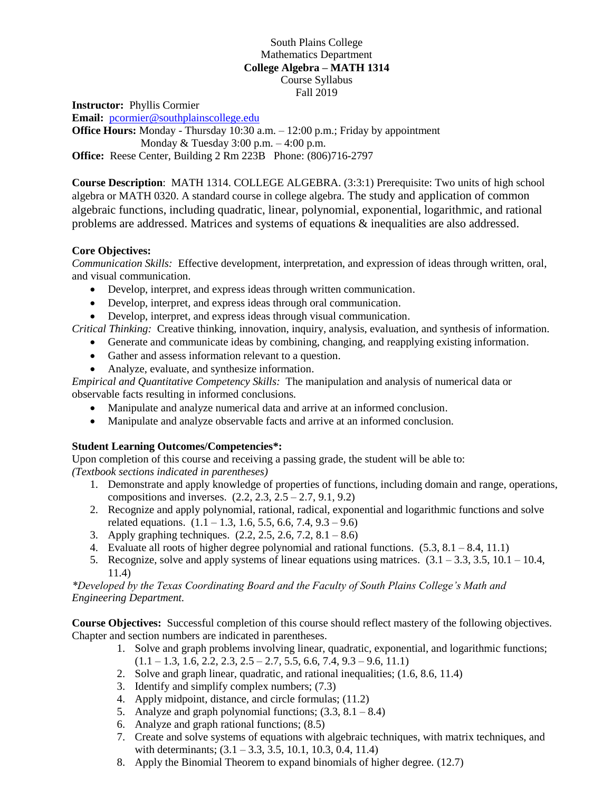## South Plains College Mathematics Department **College Algebra – MATH 1314** Course Syllabus Fall 2019

**Instructor:** Phyllis Cormier **Email:** [pcormier@southplainscollege.edu](mailto:pcormier@southplainscollege.edu)

**Office Hours:** Monday - Thursday 10:30 a.m. – 12:00 p.m.; Friday by appointment Monday & Tuesday 3:00 p.m. – 4:00 p.m. **Office:** Reese Center, Building 2 Rm 223B Phone: (806)716-2797

**Course Description**: MATH 1314. COLLEGE ALGEBRA. (3:3:1) Prerequisite: Two units of high school algebra or MATH 0320. A standard course in college algebra. The study and application of common algebraic functions, including quadratic, linear, polynomial, exponential, logarithmic, and rational problems are addressed. Matrices and systems of equations & inequalities are also addressed.

## **Core Objectives:**

*Communication Skills:* Effective development, interpretation, and expression of ideas through written, oral, and visual communication.

- Develop, interpret, and express ideas through written communication.
- Develop, interpret, and express ideas through oral communication.
- Develop, interpret, and express ideas through visual communication.

*Critical Thinking:* Creative thinking, innovation, inquiry, analysis, evaluation, and synthesis of information.

- Generate and communicate ideas by combining, changing, and reapplying existing information.
- Gather and assess information relevant to a question.
- Analyze, evaluate, and synthesize information.

*Empirical and Quantitative Competency Skills:* The manipulation and analysis of numerical data or observable facts resulting in informed conclusions.

- Manipulate and analyze numerical data and arrive at an informed conclusion.
- Manipulate and analyze observable facts and arrive at an informed conclusion.

## **Student Learning Outcomes/Competencies\*:**

Upon completion of this course and receiving a passing grade, the student will be able to: *(Textbook sections indicated in parentheses)*

- 1. Demonstrate and apply knowledge of properties of functions, including domain and range, operations, compositions and inverses.  $(2.2, 2.3, 2.5 - 2.7, 9.1, 9.2)$
- 2. Recognize and apply polynomial, rational, radical, exponential and logarithmic functions and solve related equations.  $(1.1 - 1.3, 1.6, 5.5, 6.6, 7.4, 9.3 - 9.6)$
- 3. Apply graphing techniques. (2.2, 2.5, 2.6, 7.2, 8.1 8.6)
- 4. Evaluate all roots of higher degree polynomial and rational functions.  $(5.3, 8.1 8.4, 11.1)$
- 5. Recognize, solve and apply systems of linear equations using matrices.  $(3.1 3.3, 3.5, 10.1 10.4,$ 11.4)

*\*Developed by the Texas Coordinating Board and the Faculty of South Plains College's Math and Engineering Department.*

**Course Objectives:** Successful completion of this course should reflect mastery of the following objectives. Chapter and section numbers are indicated in parentheses.

- 1. Solve and graph problems involving linear, quadratic, exponential, and logarithmic functions;  $(1.1 - 1.3, 1.6, 2.2, 2.3, 2.5 - 2.7, 5.5, 6.6, 7.4, 9.3 - 9.6, 11.1)$
- 2. Solve and graph linear, quadratic, and rational inequalities; (1.6, 8.6, 11.4)
- 3. Identify and simplify complex numbers; (7.3)
- 4. Apply midpoint, distance, and circle formulas; (11.2)
- 5. Analyze and graph polynomial functions;  $(3.3, 8.1 8.4)$
- 6. Analyze and graph rational functions; (8.5)
- 7. Create and solve systems of equations with algebraic techniques, with matrix techniques, and with determinants;  $(3.1 - 3.3, 3.5, 10.1, 10.3, 0.4, 11.4)$
- 8. Apply the Binomial Theorem to expand binomials of higher degree. (12.7)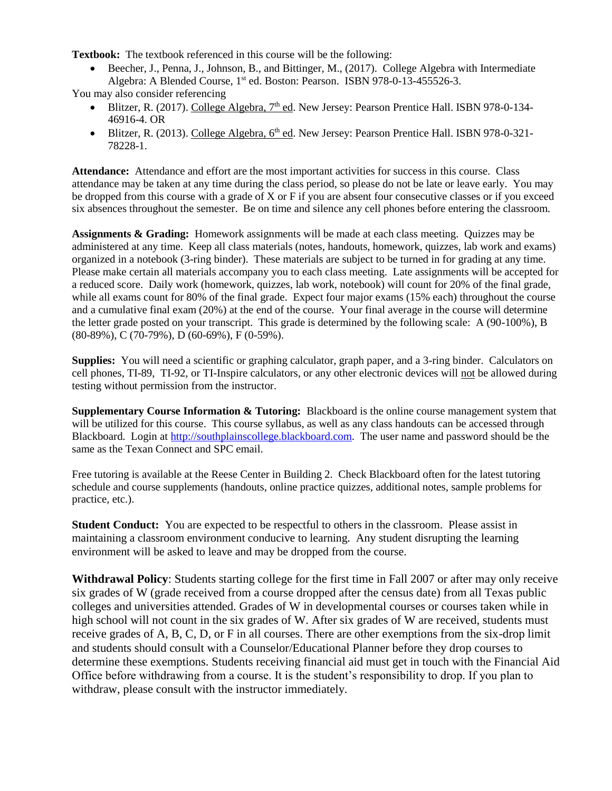**Textbook:** The textbook referenced in this course will be the following:

 Beecher, J., Penna, J., Johnson, B., and Bittinger, M., (2017). College Algebra with Intermediate Algebra: A Blended Course, 1<sup>st</sup> ed. Boston: Pearson. ISBN 978-0-13-455526-3.

You may also consider referencing

- Blitzer, R. (2017). College Algebra,  $7<sup>th</sup>$  ed. New Jersey: Pearson Prentice Hall. ISBN 978-0-134-46916-4. OR
- Blitzer, R. (2013). College Algebra, 6<sup>th</sup> ed. New Jersey: Pearson Prentice Hall. ISBN 978-0-321-78228-1.

**Attendance:** Attendance and effort are the most important activities for success in this course. Class attendance may be taken at any time during the class period, so please do not be late or leave early. You may be dropped from this course with a grade of X or F if you are absent four consecutive classes or if you exceed six absences throughout the semester. Be on time and silence any cell phones before entering the classroom.

**Assignments & Grading:** Homework assignments will be made at each class meeting. Quizzes may be administered at any time. Keep all class materials (notes, handouts, homework, quizzes, lab work and exams) organized in a notebook (3-ring binder). These materials are subject to be turned in for grading at any time. Please make certain all materials accompany you to each class meeting. Late assignments will be accepted for a reduced score. Daily work (homework, quizzes, lab work, notebook) will count for 20% of the final grade, while all exams count for 80% of the final grade. Expect four major exams (15% each) throughout the course and a cumulative final exam (20%) at the end of the course. Your final average in the course will determine the letter grade posted on your transcript. This grade is determined by the following scale: A (90-100%), B (80-89%), C (70-79%), D (60-69%), F (0-59%).

**Supplies:** You will need a scientific or graphing calculator, graph paper, and a 3-ring binder. Calculators on cell phones, TI-89, TI-92, or TI-Inspire calculators, or any other electronic devices will not be allowed during testing without permission from the instructor.

**Supplementary Course Information & Tutoring:** Blackboard is the online course management system that will be utilized for this course. This course syllabus, as well as any class handouts can be accessed through Blackboard. Login at [http://southplainscollege.blackboard.com.](http://southplainscollege.blackboard.com/) The user name and password should be the same as the Texan Connect and SPC email.

Free tutoring is available at the Reese Center in Building 2. Check Blackboard often for the latest tutoring schedule and course supplements (handouts, online practice quizzes, additional notes, sample problems for practice, etc.).

**Student Conduct:** You are expected to be respectful to others in the classroom. Please assist in maintaining a classroom environment conducive to learning. Any student disrupting the learning environment will be asked to leave and may be dropped from the course.

**Withdrawal Policy**: Students starting college for the first time in Fall 2007 or after may only receive six grades of W (grade received from a course dropped after the census date) from all Texas public colleges and universities attended. Grades of W in developmental courses or courses taken while in high school will not count in the six grades of W. After six grades of W are received, students must receive grades of A, B, C, D, or F in all courses. There are other exemptions from the six-drop limit and students should consult with a Counselor/Educational Planner before they drop courses to determine these exemptions. Students receiving financial aid must get in touch with the Financial Aid Office before withdrawing from a course. It is the student's responsibility to drop. If you plan to withdraw, please consult with the instructor immediately.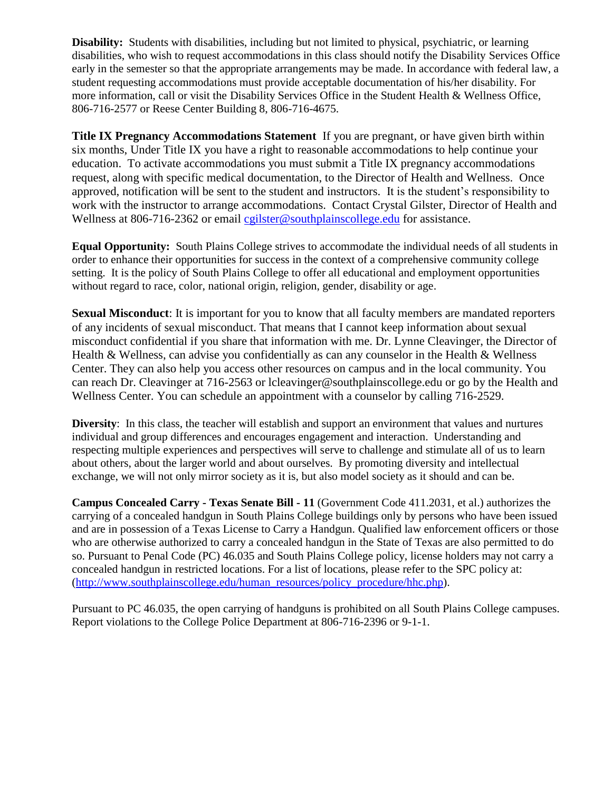**Disability:** Students with disabilities, including but not limited to physical, psychiatric, or learning disabilities, who wish to request accommodations in this class should notify the Disability Services Office early in the semester so that the appropriate arrangements may be made. In accordance with federal law, a student requesting accommodations must provide acceptable documentation of his/her disability. For more information, call or visit the Disability Services Office in the Student Health & Wellness Office, 806-716-2577 or Reese Center Building 8, 806-716-4675.

**Title IX Pregnancy Accommodations Statement** If you are pregnant, or have given birth within six months, Under Title IX you have a right to reasonable accommodations to help continue your education. To activate accommodations you must submit a Title IX pregnancy accommodations request, along with specific medical documentation, to the Director of Health and Wellness. Once approved, notification will be sent to the student and instructors. It is the student's responsibility to work with the instructor to arrange accommodations. Contact Crystal Gilster, Director of Health and Wellness at 806-716-2362 or email [cgilster@southplainscollege.edu](mailto:cgilster@southplainscollege.edu?subject=Title%20IX%20Pregnancy%20Accomodation) for assistance.

**Equal Opportunity:** South Plains College strives to accommodate the individual needs of all students in order to enhance their opportunities for success in the context of a comprehensive community college setting. It is the policy of South Plains College to offer all educational and employment opportunities without regard to race, color, national origin, religion, gender, disability or age.

**Sexual Misconduct**: It is important for you to know that all faculty members are mandated reporters of any incidents of sexual misconduct. That means that I cannot keep information about sexual misconduct confidential if you share that information with me. Dr. Lynne Cleavinger, the Director of Health & Wellness, can advise you confidentially as can any counselor in the Health & Wellness Center. They can also help you access other resources on campus and in the local community. You can reach Dr. Cleavinger at 716-2563 or lcleavinger@southplainscollege.edu or go by the Health and Wellness Center. You can schedule an appointment with a counselor by calling 716-2529.

**Diversity**: In this class, the teacher will establish and support an environment that values and nurtures individual and group differences and encourages engagement and interaction. Understanding and respecting multiple experiences and perspectives will serve to challenge and stimulate all of us to learn about others, about the larger world and about ourselves. By promoting diversity and intellectual exchange, we will not only mirror society as it is, but also model society as it should and can be.

**Campus Concealed Carry - Texas Senate Bill - 11** (Government Code 411.2031, et al.) authorizes the carrying of a concealed handgun in South Plains College buildings only by persons who have been issued and are in possession of a Texas License to Carry a Handgun. Qualified law enforcement officers or those who are otherwise authorized to carry a concealed handgun in the State of Texas are also permitted to do so. Pursuant to Penal Code (PC) 46.035 and South Plains College policy, license holders may not carry a concealed handgun in restricted locations. For a list of locations, please refer to the SPC policy at: [\(http://www.southplainscollege.edu/human\\_resources/policy\\_procedure/hhc.php\)](http://www.southplainscollege.edu/human_resources/policy_procedure/hhc.php).

Pursuant to PC 46.035, the open carrying of handguns is prohibited on all South Plains College campuses. Report violations to the College Police Department at 806-716-2396 or 9-1-1.